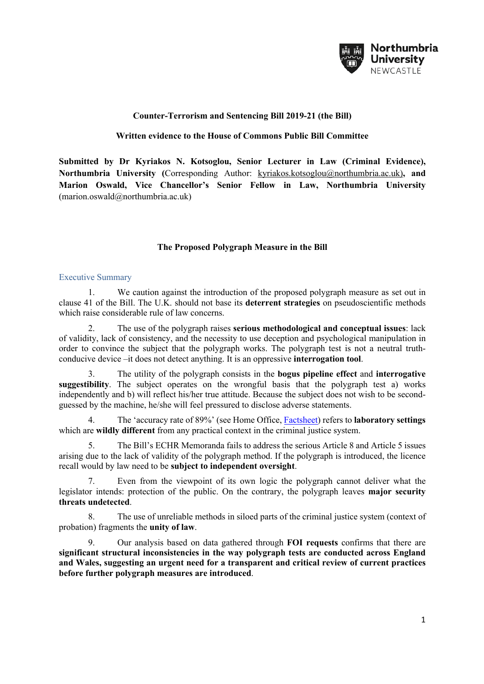

# **Counter-Terrorism and Sentencing Bill 2019-21 (the Bill)**

## **Written evidence to the House of Commons Public Bill Committee**

**Submitted by Dr Kyriakos N. Kotsoglou, Senior Lecturer in Law (Criminal Evidence), Northumbria University (**Corresponding Author: kyriakos.kotsoglou@northumbria.ac.uk)**, and Marion Oswald, Vice Chancellor's Senior Fellow in Law, Northumbria University** (marion.oswald@northumbria.ac.uk)

# **The Proposed Polygraph Measure in the Bill**

## Executive Summary

1. We caution against the introduction of the proposed polygraph measure as set out in clause 41 of the Bill. The U.K. should not base its **deterrent strategies** on pseudoscientific methods which raise considerable rule of law concerns.

2. The use of the polygraph raises **serious methodological and conceptual issues**: lack of validity, lack of consistency, and the necessity to use deception and psychological manipulation in order to convince the subject that the polygraph works. The polygraph test is not a neutral truthconducive device –it does not detect anything. It is an oppressive **interrogation tool**.

3. The utility of the polygraph consists in the **bogus pipeline effect** and **interrogative suggestibility**. The subject operates on the wrongful basis that the polygraph test a) works independently and b) will reflect his/her true attitude. Because the subject does not wish to be secondguessed by the machine, he/she will feel pressured to disclose adverse statements.

4. The 'accuracy rate of 89%' (see Home Office, Factsheet) refers to **laboratory settings**  which are **wildly different** from any practical context in the criminal justice system.

5. The Bill's ECHR Memoranda fails to address the serious Article 8 and Article 5 issues arising due to the lack of validity of the polygraph method. If the polygraph is introduced, the licence recall would by law need to be **subject to independent oversight**.

7. Even from the viewpoint of its own logic the polygraph cannot deliver what the legislator intends: protection of the public. On the contrary, the polygraph leaves **major security threats undetected**.

8. The use of unreliable methods in siloed parts of the criminal justice system (context of probation) fragments the **unity of law**.

9. Our analysis based on data gathered through **FOI requests** confirms that there are **significant structural inconsistencies in the way polygraph tests are conducted across England and Wales, suggesting an urgent need for a transparent and critical review of current practices before further polygraph measures are introduced**.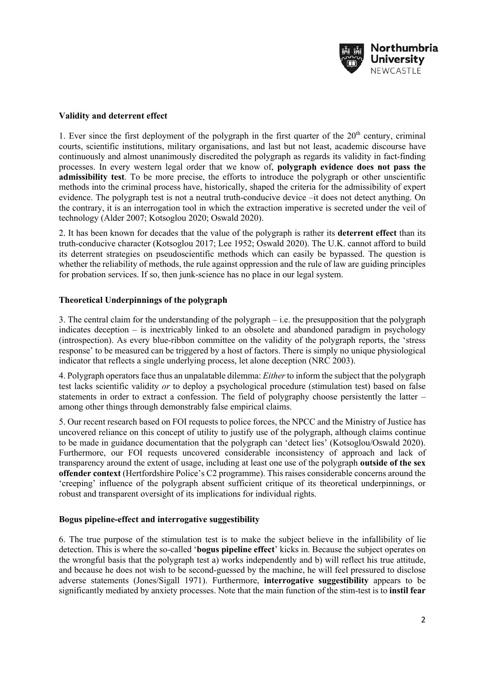

## **Validity and deterrent effect**

1. Ever since the first deployment of the polygraph in the first quarter of the  $20<sup>th</sup>$  century, criminal courts, scientific institutions, military organisations, and last but not least, academic discourse have continuously and almost unanimously discredited the polygraph as regards its validity in fact-finding processes. In every western legal order that we know of, **polygraph evidence does not pass the admissibility test**. To be more precise, the efforts to introduce the polygraph or other unscientific methods into the criminal process have, historically, shaped the criteria for the admissibility of expert evidence. The polygraph test is not a neutral truth-conducive device –it does not detect anything. On the contrary, it is an interrogation tool in which the extraction imperative is secreted under the veil of technology (Alder 2007; Kotsoglou 2020; Oswald 2020).

2. It has been known for decades that the value of the polygraph is rather its **deterrent effect** than its truth-conducive character (Kotsoglou 2017; Lee 1952; Oswald 2020). The U.K. cannot afford to build its deterrent strategies on pseudoscientific methods which can easily be bypassed. The question is whether the reliability of methods, the rule against oppression and the rule of law are guiding principles for probation services. If so, then junk-science has no place in our legal system.

# **Theoretical Underpinnings of the polygraph**

3. The central claim for the understanding of the polygraph – i.e. the presupposition that the polygraph indicates deception – is inextricably linked to an obsolete and abandoned paradigm in psychology (introspection). As every blue-ribbon committee on the validity of the polygraph reports, the 'stress response' to be measured can be triggered by a host of factors. There is simply no unique physiological indicator that reflects a single underlying process, let alone deception (NRC 2003).

4. Polygraph operators face thus an unpalatable dilemma: *Either* to inform the subject that the polygraph test lacks scientific validity *or* to deploy a psychological procedure (stimulation test) based on false statements in order to extract a confession. The field of polygraphy choose persistently the latter – among other things through demonstrably false empirical claims.

5. Our recent research based on FOI requests to police forces, the NPCC and the Ministry of Justice has uncovered reliance on this concept of utility to justify use of the polygraph, although claims continue to be made in guidance documentation that the polygraph can 'detect lies' (Kotsoglou/Oswald 2020). Furthermore, our FOI requests uncovered considerable inconsistency of approach and lack of transparency around the extent of usage, including at least one use of the polygraph **outside of the sex offender context** (Hertfordshire Police's C2 programme). This raises considerable concerns around the 'creeping' influence of the polygraph absent sufficient critique of its theoretical underpinnings, or robust and transparent oversight of its implications for individual rights.

## **Bogus pipeline-effect and interrogative suggestibility**

6. The true purpose of the stimulation test is to make the subject believe in the infallibility of lie detection. This is where the so-called '**bogus pipeline effect**' kicks in. Because the subject operates on the wrongful basis that the polygraph test a) works independently and b) will reflect his true attitude, and because he does not wish to be second-guessed by the machine, he will feel pressured to disclose adverse statements (Jones/Sigall 1971). Furthermore, **interrogative suggestibility** appears to be significantly mediated by anxiety processes. Note that the main function of the stim-test is to **instil fear**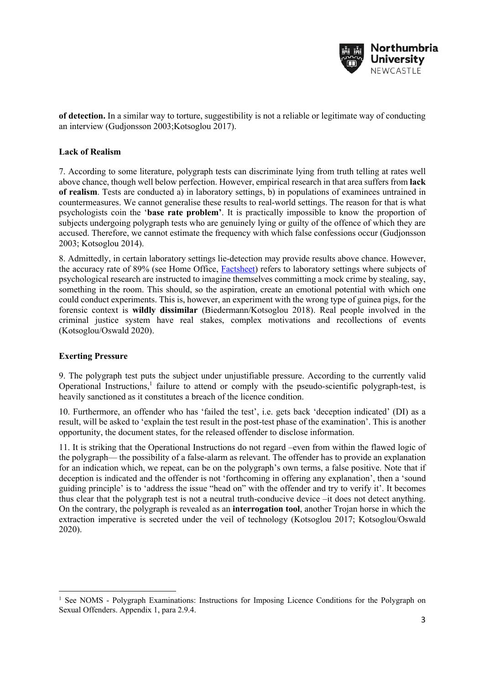

**of detection.** In a similar way to torture, suggestibility is not a reliable or legitimate way of conducting an interview (Gudjonsson 2003;Kotsoglou 2017).

## **Lack of Realism**

7. According to some literature, polygraph tests can discriminate lying from truth telling at rates well above chance, though well below perfection. However, empirical research in that area suffers from **lack of realism**. Tests are conducted a) in laboratory settings, b) in populations of examinees untrained in countermeasures. We cannot generalise these results to real-world settings. The reason for that is what psychologists coin the '**base rate problem'**. It is practically impossible to know the proportion of subjects undergoing polygraph tests who are genuinely lying or guilty of the offence of which they are accused. Therefore, we cannot estimate the frequency with which false confessions occur (Gudjonsson 2003; Kotsoglou 2014).

8. Admittedly, in certain laboratory settings lie-detection may provide results above chance. However, the accuracy rate of 89% (see Home Office, Factsheet) refers to laboratory settings where subjects of psychological research are instructed to imagine themselves committing a mock crime by stealing, say, something in the room. This should, so the aspiration, create an emotional potential with which one could conduct experiments. This is, however, an experiment with the wrong type of guinea pigs, for the forensic context is **wildly dissimilar** (Biedermann/Kotsoglou 2018). Real people involved in the criminal justice system have real stakes, complex motivations and recollections of events (Kotsoglou/Oswald 2020).

## **Exerting Pressure**

9. The polygraph test puts the subject under unjustifiable pressure. According to the currently valid Operational Instructions, $<sup>1</sup>$  failure to attend or comply with the pseudo-scientific polygraph-test, is</sup> heavily sanctioned as it constitutes a breach of the licence condition.

10. Furthermore, an offender who has 'failed the test', i.e. gets back 'deception indicated' (DI) as a result, will be asked to 'explain the test result in the post-test phase of the examination'. This is another opportunity, the document states, for the released offender to disclose information.

11. It is striking that the Operational Instructions do not regard –even from within the flawed logic of the polygraph— the possibility of a false-alarm as relevant. The offender has to provide an explanation for an indication which, we repeat, can be on the polygraph's own terms, a false positive. Note that if deception is indicated and the offender is not 'forthcoming in offering any explanation', then a 'sound guiding principle' is to 'address the issue "head on" with the offender and try to verify it'. It becomes thus clear that the polygraph test is not a neutral truth-conducive device –it does not detect anything. On the contrary, the polygraph is revealed as an **interrogation tool**, another Trojan horse in which the extraction imperative is secreted under the veil of technology (Kotsoglou 2017; Kotsoglou/Oswald 2020).

<sup>&</sup>lt;sup>1</sup> See NOMS - Polygraph Examinations: Instructions for Imposing Licence Conditions for the Polygraph on Sexual Offenders. Appendix 1, para 2.9.4.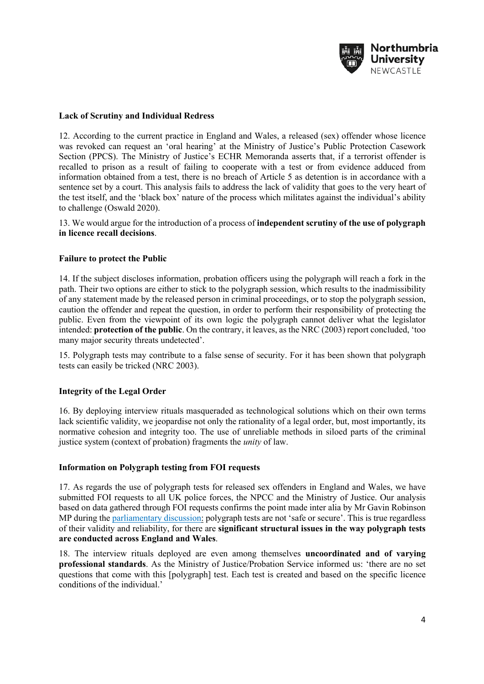

## **Lack of Scrutiny and Individual Redress**

12. According to the current practice in England and Wales, a released (sex) offender whose licence was revoked can request an 'oral hearing' at the Ministry of Justice's Public Protection Casework Section (PPCS). The Ministry of Justice's ECHR Memoranda asserts that, if a terrorist offender is recalled to prison as a result of failing to cooperate with a test or from evidence adduced from information obtained from a test, there is no breach of Article 5 as detention is in accordance with a sentence set by a court. This analysis fails to address the lack of validity that goes to the very heart of the test itself, and the 'black box' nature of the process which militates against the individual's ability to challenge (Oswald 2020).

13. We would argue for the introduction of a process of **independent scrutiny of the use of polygraph in licence recall decisions**.

## **Failure to protect the Public**

14. If the subject discloses information, probation officers using the polygraph will reach a fork in the path. Their two options are either to stick to the polygraph session, which results to the inadmissibility of any statement made by the released person in criminal proceedings, or to stop the polygraph session, caution the offender and repeat the question, in order to perform their responsibility of protecting the public. Even from the viewpoint of its own logic the polygraph cannot deliver what the legislator intended: **protection of the public**. On the contrary, it leaves, as the NRC (2003) report concluded, 'too many major security threats undetected'.

15. Polygraph tests may contribute to a false sense of security. For it has been shown that polygraph tests can easily be tricked (NRC 2003).

## **Integrity of the Legal Order**

16. By deploying interview rituals masqueraded as technological solutions which on their own terms lack scientific validity, we jeopardise not only the rationality of a legal order, but, most importantly, its normative cohesion and integrity too. The use of unreliable methods in siloed parts of the criminal justice system (context of probation) fragments the *unity* of law.

#### **Information on Polygraph testing from FOI requests**

17. As regards the use of polygraph tests for released sex offenders in England and Wales, we have submitted FOI requests to all UK police forces, the NPCC and the Ministry of Justice. Our analysis based on data gathered through FOI requests confirms the point made inter alia by Mr Gavin Robinson MP during the parliamentary discussion: polygraph tests are not 'safe or secure'. This is true regardless of their validity and reliability, for there are **significant structural issues in the way polygraph tests are conducted across England and Wales**.

18. The interview rituals deployed are even among themselves **uncoordinated and of varying professional standards**. As the Ministry of Justice/Probation Service informed us: 'there are no set questions that come with this [polygraph] test. Each test is created and based on the specific licence conditions of the individual.'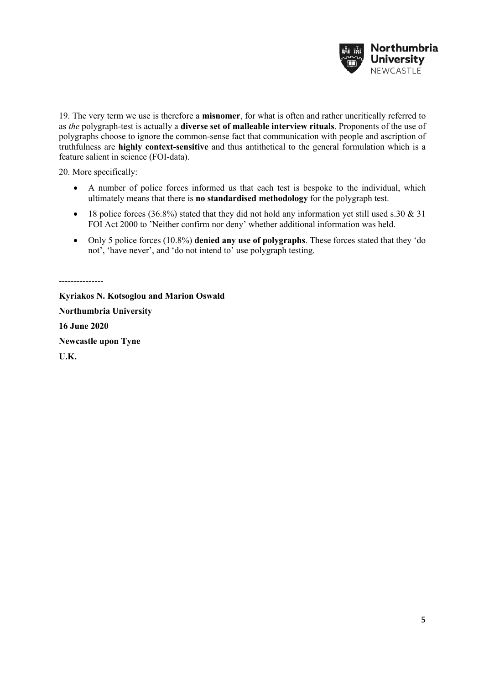

19. The very term we use is therefore a **misnomer**, for what is often and rather uncritically referred to as *the* polygraph-test is actually a **diverse set of malleable interview rituals**. Proponents of the use of polygraphs choose to ignore the common-sense fact that communication with people and ascription of truthfulness are **highly context-sensitive** and thus antithetical to the general formulation which is a feature salient in science (FOI-data).

20. More specifically:

---------------

- A number of police forces informed us that each test is bespoke to the individual, which ultimately means that there is **no standardised methodology** for the polygraph test.
- 18 police forces (36.8%) stated that they did not hold any information yet still used s.30  $\&$  31 FOI Act 2000 to 'Neither confirm nor deny' whether additional information was held.
- Only 5 police forces (10.8%) **denied any use of polygraphs**. These forces stated that they 'do not', 'have never', and 'do not intend to' use polygraph testing.

**Kyriakos N. Kotsoglou and Marion Oswald Northumbria University 16 June 2020 Newcastle upon Tyne U.K.**